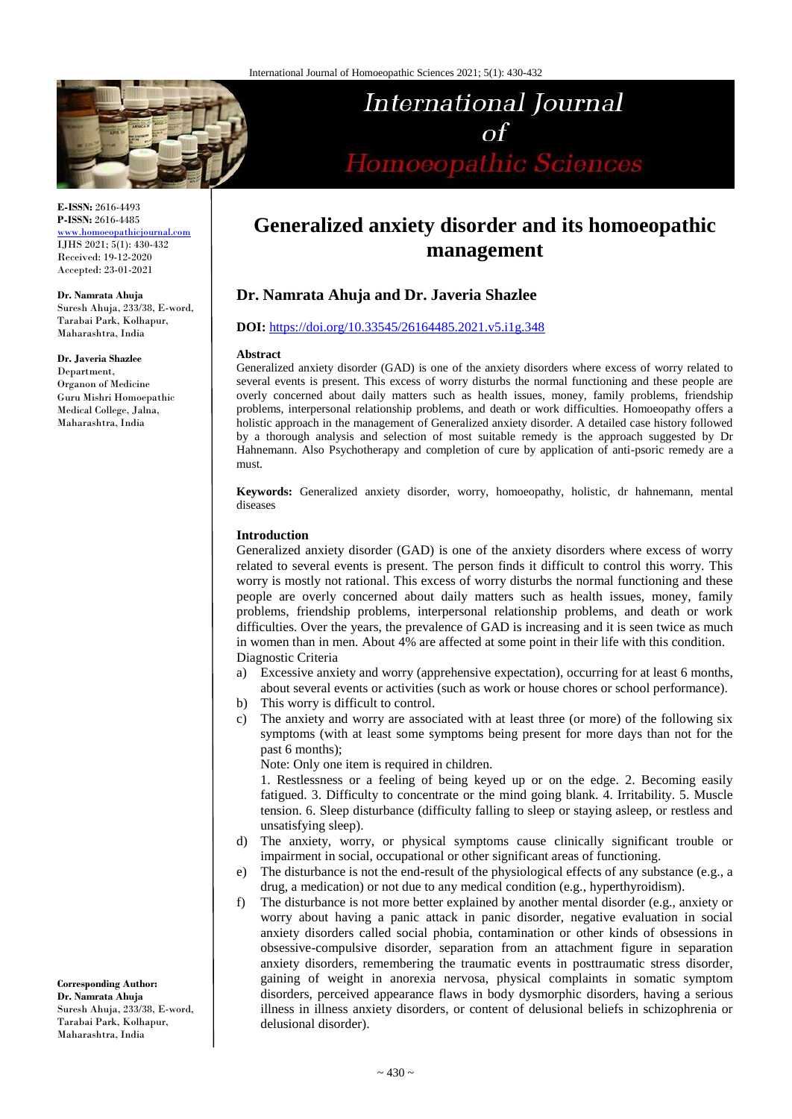

# **E-ISSN:** 2616-4493 **P-ISSN:** 2616-4485

[www.homoeopathicjournal.com](file://Server/test/homoeopathicjournal/issue/vol%204/issue%201/www.homoeopathicjournal.com) IJHS 2021; 5(1): 430-432 Received: 19-12-2020 Accepted: 23-01-2021

**Dr. Namrata Ahuja**

Suresh Ahuja, 233/38, E-word, Tarabai Park, Kolhapur, Maharashtra, India

#### **Dr. Javeria Shazlee**

Department, Organon of Medicine Guru Mishri Homoepathic Medical College, Jalna, Maharashtra, India

International Journal  $\alpha f$ Homoeopathic Sciences

# **Generalized anxiety disorder and its homoeopathic management**

# **Dr. Namrata Ahuja and Dr. Javeria Shazlee**

#### **DOI:** <https://doi.org/10.33545/26164485.2021.v5.i1g.348>

#### **Abstract**

Generalized anxiety disorder (GAD) is one of the anxiety disorders where excess of worry related to several events is present. This excess of worry disturbs the normal functioning and these people are overly concerned about daily matters such as health issues, money, family problems, friendship problems, interpersonal relationship problems, and death or work difficulties. Homoeopathy offers a holistic approach in the management of Generalized anxiety disorder. A detailed case history followed by a thorough analysis and selection of most suitable remedy is the approach suggested by Dr Hahnemann. Also Psychotherapy and completion of cure by application of anti-psoric remedy are a must.

**Keywords:** Generalized anxiety disorder, worry, homoeopathy, holistic, dr hahnemann, mental diseases

#### **Introduction**

Generalized anxiety disorder (GAD) is one of the anxiety disorders where excess of worry related to several events is present. The person finds it difficult to control this worry. This worry is mostly not rational. This excess of worry disturbs the normal functioning and these people are overly concerned about daily matters such as health issues, money, family problems, friendship problems, interpersonal relationship problems, and death or work difficulties. Over the years, the prevalence of GAD is increasing and it is seen twice as much in women than in men. About 4% are affected at some point in their life with this condition. Diagnostic Criteria

- a) Excessive anxiety and worry (apprehensive expectation), occurring for at least 6 months, about several events or activities (such as work or house chores or school performance).
- b) This worry is difficult to control.
- c) The anxiety and worry are associated with at least three (or more) of the following six symptoms (with at least some symptoms being present for more days than not for the past 6 months);

Note: Only one item is required in children.

1. Restlessness or a feeling of being keyed up or on the edge. 2. Becoming easily fatigued. 3. Difficulty to concentrate or the mind going blank. 4. Irritability. 5. Muscle tension. 6. Sleep disturbance (difficulty falling to sleep or staying asleep, or restless and unsatisfying sleep).

- d) The anxiety, worry, or physical symptoms cause clinically significant trouble or impairment in social, occupational or other significant areas of functioning.
- e) The disturbance is not the end-result of the physiological effects of any substance (e.g., a drug, a medication) or not due to any medical condition (e.g., hyperthyroidism).
- f) The disturbance is not more better explained by another mental disorder (e.g., anxiety or worry about having a panic attack in panic disorder, negative evaluation in social anxiety disorders called social phobia, contamination or other kinds of obsessions in obsessive-compulsive disorder, separation from an attachment figure in separation anxiety disorders, remembering the traumatic events in posttraumatic stress disorder, gaining of weight in anorexia nervosa, physical complaints in somatic symptom disorders, perceived appearance flaws in body dysmorphic disorders, having a serious illness in illness anxiety disorders, or content of delusional beliefs in schizophrenia or delusional disorder).

**Corresponding Author: Dr. Namrata Ahuja** Suresh Ahuja, 233/38, E-word, Tarabai Park, Kolhapur, Maharashtra, India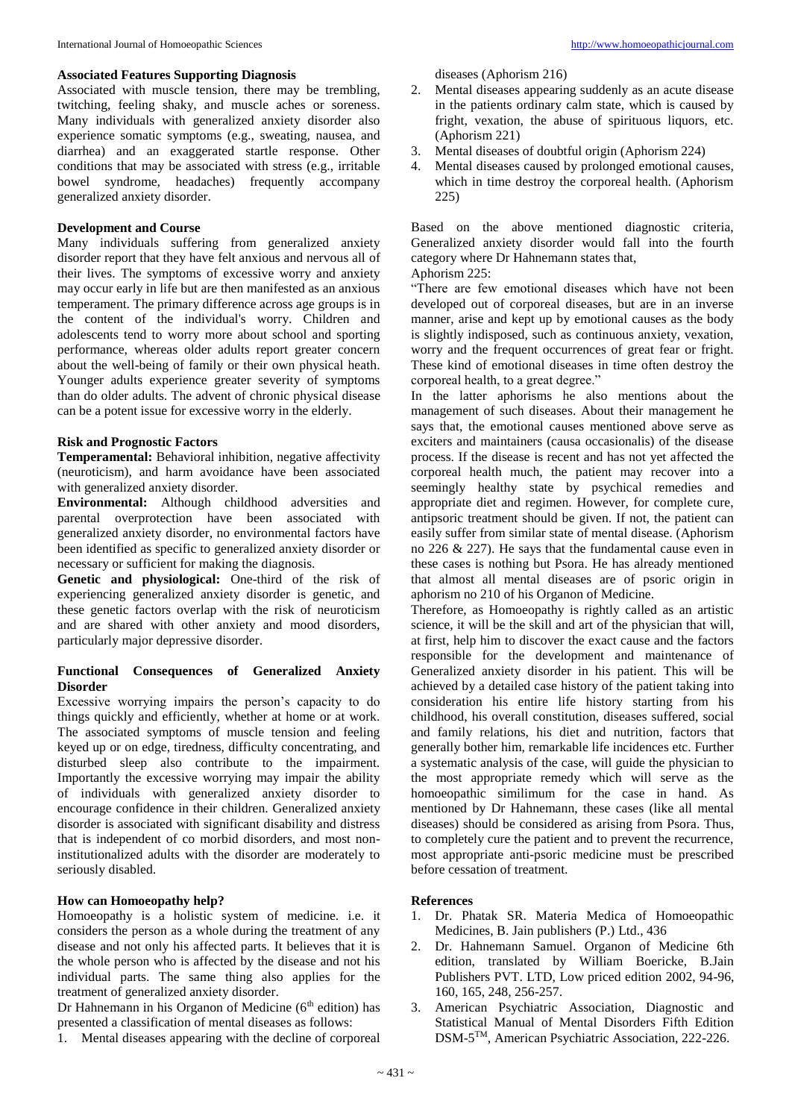#### **Associated Features Supporting Diagnosis**

Associated with muscle tension, there may be trembling, twitching, feeling shaky, and muscle aches or soreness. Many individuals with generalized anxiety disorder also experience somatic symptoms (e.g., sweating, nausea, and diarrhea) and an exaggerated startle response. Other conditions that may be associated with stress (e.g., irritable bowel syndrome, headaches) frequently accompany generalized anxiety disorder.

## **Development and Course**

Many individuals suffering from generalized anxiety disorder report that they have felt anxious and nervous all of their lives. The symptoms of excessive worry and anxiety may occur early in life but are then manifested as an anxious temperament. The primary difference across age groups is in the content of the individual's worry. Children and adolescents tend to worry more about school and sporting performance, whereas older adults report greater concern about the well-being of family or their own physical heath. Younger adults experience greater severity of symptoms than do older adults. The advent of chronic physical disease can be a potent issue for excessive worry in the elderly.

### **Risk and Prognostic Factors**

**Temperamental:** Behavioral inhibition, negative affectivity (neuroticism), and harm avoidance have been associated with generalized anxiety disorder.

**Environmental:** Although childhood adversities and parental overprotection have been associated with generalized anxiety disorder, no environmental factors have been identified as specific to generalized anxiety disorder or necessary or sufficient for making the diagnosis.

**Genetic and physiological:** One-third of the risk of experiencing generalized anxiety disorder is genetic, and these genetic factors overlap with the risk of neuroticism and are shared with other anxiety and mood disorders, particularly major depressive disorder.

#### **Functional Consequences of Generalized Anxiety Disorder**

Excessive worrying impairs the person's capacity to do things quickly and efficiently, whether at home or at work. The associated symptoms of muscle tension and feeling keyed up or on edge, tiredness, difficulty concentrating, and disturbed sleep also contribute to the impairment. Importantly the excessive worrying may impair the ability of individuals with generalized anxiety disorder to encourage confidence in their children. Generalized anxiety disorder is associated with significant disability and distress that is independent of co morbid disorders, and most noninstitutionalized adults with the disorder are moderately to seriously disabled.

# **How can Homoeopathy help?**

Homoeopathy is a holistic system of medicine. i.e. it considers the person as a whole during the treatment of any disease and not only his affected parts. It believes that it is the whole person who is affected by the disease and not his individual parts. The same thing also applies for the treatment of generalized anxiety disorder.

Dr Hahnemann in his Organon of Medicine  $(6<sup>th</sup>$  edition) has presented a classification of mental diseases as follows:

1. Mental diseases appearing with the decline of corporeal

diseases (Aphorism 216)

- 2. Mental diseases appearing suddenly as an acute disease in the patients ordinary calm state, which is caused by fright, vexation, the abuse of spirituous liquors, etc. (Aphorism 221)
- 3. Mental diseases of doubtful origin (Aphorism 224)
- 4. Mental diseases caused by prolonged emotional causes, which in time destroy the corporeal health. (Aphorism 225)

Based on the above mentioned diagnostic criteria, Generalized anxiety disorder would fall into the fourth category where Dr Hahnemann states that,

Aphorism 225:

"There are few emotional diseases which have not been developed out of corporeal diseases, but are in an inverse manner, arise and kept up by emotional causes as the body is slightly indisposed, such as continuous anxiety, vexation, worry and the frequent occurrences of great fear or fright. These kind of emotional diseases in time often destroy the corporeal health, to a great degree."

In the latter aphorisms he also mentions about the management of such diseases. About their management he says that, the emotional causes mentioned above serve as exciters and maintainers (causa occasionalis) of the disease process. If the disease is recent and has not yet affected the corporeal health much, the patient may recover into a seemingly healthy state by psychical remedies and appropriate diet and regimen. However, for complete cure, antipsoric treatment should be given. If not, the patient can easily suffer from similar state of mental disease. (Aphorism no 226 & 227). He says that the fundamental cause even in these cases is nothing but Psora. He has already mentioned that almost all mental diseases are of psoric origin in aphorism no 210 of his Organon of Medicine.

Therefore, as Homoeopathy is rightly called as an artistic science, it will be the skill and art of the physician that will, at first, help him to discover the exact cause and the factors responsible for the development and maintenance of Generalized anxiety disorder in his patient. This will be achieved by a detailed case history of the patient taking into consideration his entire life history starting from his childhood, his overall constitution, diseases suffered, social and family relations, his diet and nutrition, factors that generally bother him, remarkable life incidences etc. Further a systematic analysis of the case, will guide the physician to the most appropriate remedy which will serve as the homoeopathic similimum for the case in hand. As mentioned by Dr Hahnemann, these cases (like all mental diseases) should be considered as arising from Psora. Thus, to completely cure the patient and to prevent the recurrence, most appropriate anti-psoric medicine must be prescribed before cessation of treatment.

# **References**

- 1. Dr. Phatak SR. Materia Medica of Homoeopathic Medicines, B. Jain publishers (P.) Ltd., 436
- 2. Dr. Hahnemann Samuel. Organon of Medicine 6th edition, translated by William Boericke, B.Jain Publishers PVT. LTD, Low priced edition 2002, 94-96, 160, 165, 248, 256-257.
- 3. American Psychiatric Association, Diagnostic and Statistical Manual of Mental Disorders Fifth Edition DSM-5 TM, American Psychiatric Association, 222-226.